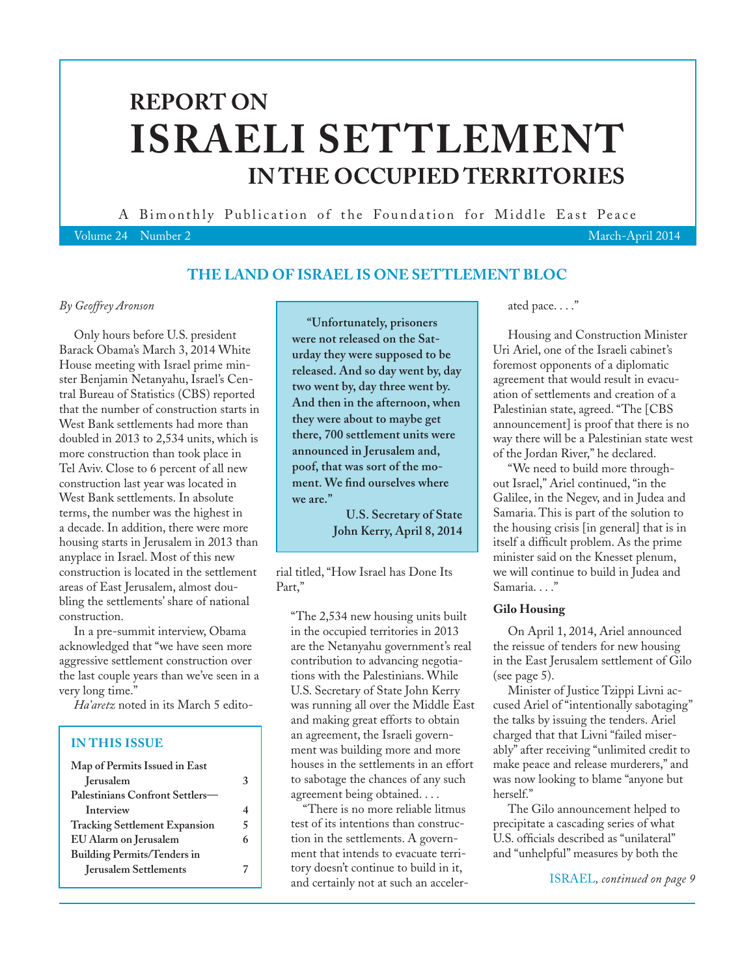# **REPORT ON ISRAELI SETTLEMENT IN THE OCCUPIED TERRITORIES**

A Bimonthly Publication of the Foundation for Middle East Peace

Volume 24 Number 2 March-April 2014

# **THE LAND OF ISRAEL IS ONE SETTLEMENT BLOC**

### *By Geoffrey Aronson*

Only hours before U.S. president Barack Obama's March 3, 2014 White House meeting with Israel prime minster Benjamin Netanyahu, Israel's Central Bureau of Statistics (CBS) reported that the number of construction starts in West Bank settlements had more than doubled in 2013 to 2,534 units, which is more construction than took place in Tel Aviv. Close to 6 percent of all new construction last year was located in West Bank settlements. In absolute terms, the number was the highest in a decade. In addition, there were more housing starts in Jerusalem in 2013 than anyplace in Israel. Most of this new construction is located in the settlement areas of East Jerusalem, almost doubling the settlements' share of national construction.

In a pre-summit interview, Obama acknowledged that "we have seen more aggressive settlement construction over the last couple years than we've seen in a very long time."

*Ha'aretz* noted in its March 5 edito-

# **IN THIS ISSUE**

| Map of Permits Issued in East        |   |
|--------------------------------------|---|
| <b>Jerusalem</b>                     | 3 |
| Palestinians Confront Settlers-      |   |
| Interview                            | 4 |
| <b>Tracking Settlement Expansion</b> | 5 |
| EU Alarm on Jerusalem                | 6 |
| <b>Building Permits/Tenders in</b>   |   |
| <b>Jerusalem Settlements</b>         |   |
|                                      |   |

**"Unfortunately, prisoners were not released on the Saturday they were supposed to be released. And so day went by, day two went by, day three went by. And then in the afternoon, when they were about to maybe get there, 700 settlement units were announced in Jerusalem and, poof, that was sort of the moment. We find ourselves where we are."**

> **U.S. Secretary of State John Kerry, April 8, 2014**

rial titled, "How Israel has Done Its Part,"

"The 2,534 new housing units built in the occupied territories in 2013 are the Netanyahu government's real contribution to advancing negotiations with the Palestinians. While U.S. Secretary of State John Kerry was running all over the Middle East and making great efforts to obtain an agreement, the Israeli government was building more and more houses in the settlements in an effort to sabotage the chances of any such agreement being obtained. . . .

"There is no more reliable litmus test of its intentions than construction in the settlements. A government that intends to evacuate territory doesn't continue to build in it, and certainly not at such an accelerated pace. . . ."

Housing and Construction Minister Uri Ariel, one of the Israeli cabinet's foremost opponents of a diplomatic agreement that would result in evacuation of settlements and creation of a Palestinian state, agreed. "The [CBS announcement] is proof that there is no way there will be a Palestinian state west of the Jordan River," he declared.

"We need to build more throughout Israel," Ariel continued, "in the Galilee, in the Negev, and in Judea and Samaria. This is part of the solution to the housing crisis [in general] that is in itself a difficult problem. As the prime minister said on the Knesset plenum, we will continue to build in Judea and Samaria. . . ."

## **Gilo Housing**

On April 1, 2014, Ariel announced the reissue of tenders for new housing in the East Jerusalem settlement of Gilo (see page 5).

Minister of Justice Tzippi Livni accused Ariel of "intentionally sabotaging" the talks by issuing the tenders. Ariel charged that that Livni "failed miserably" after receiving "unlimited credit to make peace and release murderers," and was now looking to blame "anyone but herself."

The Gilo announcement helped to precipitate a cascading series of what U.S. officials described as "unilateral" and "unhelpful" measures by both the

ISRAEL*, continued on page 9*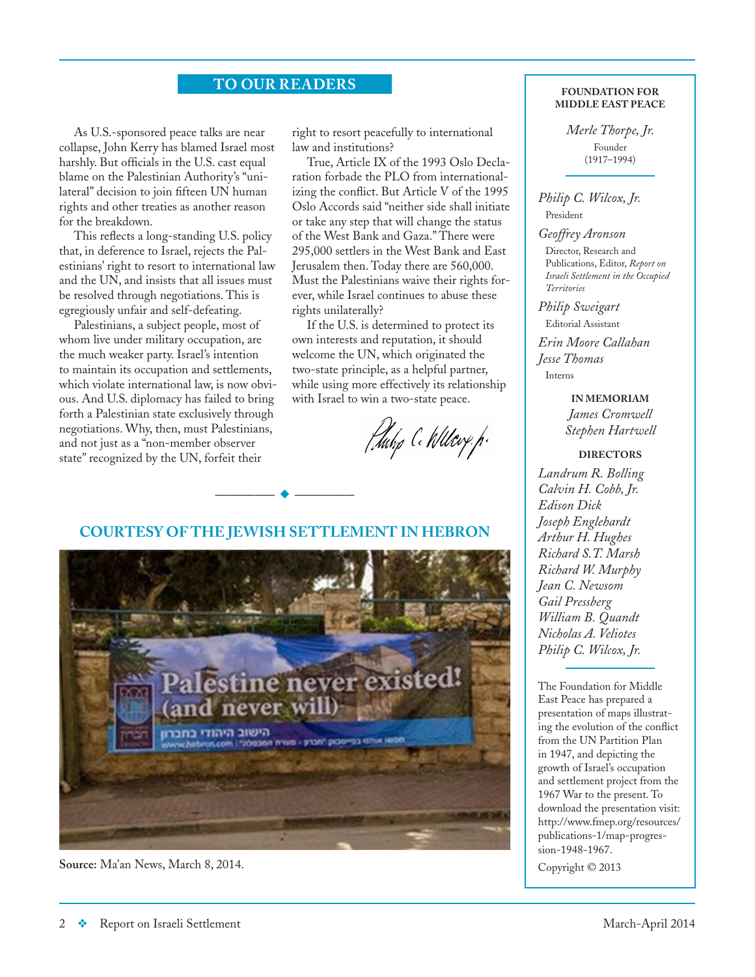# **TO OUR READERS** FOUNDATION FOR

As U.S.-sponsored peace talks are near collapse, John Kerry has blamed Israel most harshly. But officials in the U.S. cast equal blame on the Palestinian Authority's "unilateral" decision to join fifteen UN human rights and other treaties as another reason for the breakdown.

This reflects a long-standing U.S. policy that, in deference to Israel, rejects the Palestinians' right to resort to international law and the UN, and insists that all issues must be resolved through negotiations. This is egregiously unfair and self-defeating.

Palestinians, a subject people, most of whom live under military occupation, are the much weaker party. Israel's intention to maintain its occupation and settlements, which violate international law, is now obvious. And U.S. diplomacy has failed to bring forth a Palestinian state exclusively through negotiations. Why, then, must Palestinians, and not just as a "non-member observer state" recognized by the UN, forfeit their

right to resort peacefully to international law and institutions?

True, Article IX of the 1993 Oslo Declaration forbade the PLO from internationalizing the conflict. But Article V of the 1995 Oslo Accords said "neither side shall initiate or take any step that will change the status of the West Bank and Gaza." There were 295,000 settlers in the West Bank and East Jerusalem then. Today there are 560,000. Must the Palestinians waive their rights forever, while Israel continues to abuse these rights unilaterally?

If the U.S. is determined to protect its own interests and reputation, it should welcome the UN, which originated the two-state principle, as a helpful partner, while using more effectively its relationship with Israel to win a two-state peace.

Huhp C. Willery. p.

### **COURTESY OF THE JEWISH SETTLEMENT IN HEBRON**

**——————** u **——————**



**Source:** Ma'an News, March 8, 2014.

**MIDDLE EAST PEACE**

*Merle Thorpe, Jr.* Founder (1917–1994)

### *Philip C. Wilcox, Jr.* President

*Geoffrey Aronson*

Director, Research and Publications, Editor, *Report on Israeli Settlement in the Occupied Territories*

## *Philip Sweigart*

Editorial Assistant *Erin Moore Callahan Jesse Thomas* Interns

**IN MEMORIAM** *James Cromwell Stephen Hartwell*

### **DIRECTORS**

*Landrum R. Bolling Calvin H. Cobb, Jr. Edison Dick Joseph Englehardt Arthur H. Hughes Richard S.T. Marsh Richard W. Murphy Jean C. Newsom Gail Pressberg William B. Quandt Nicholas A. Veliotes Philip C. Wilcox, Jr.*

The Foundation for Middle East Peace has prepared a presentation of maps illustrating the evolution of the conflict from the UN Partition Plan in 1947, and depicting the growth of Israel's occupation and settlement project from the 1967 War to the present. To download the presentation visit: http:/[/www.fmep.org/resources/](www.fmep.org/resources/publications) [publications](www.fmep.org/resources/publications)-1/map-progression-1948-1967.

Copyright © 2013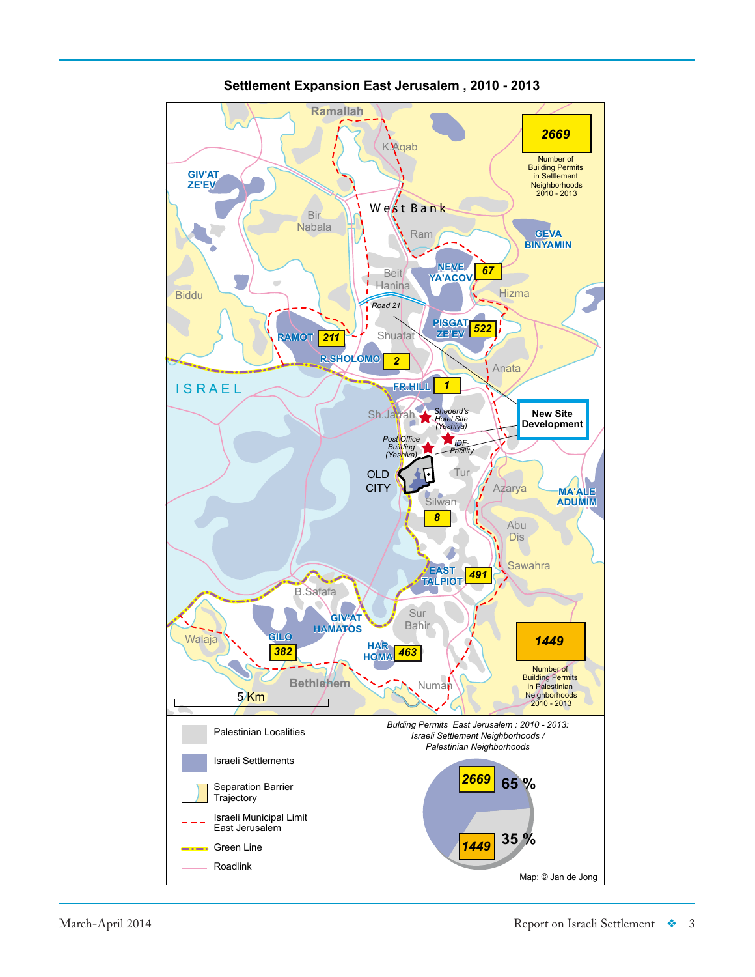

**Settlement Expansion East Jerusalem , 2010 - 2013**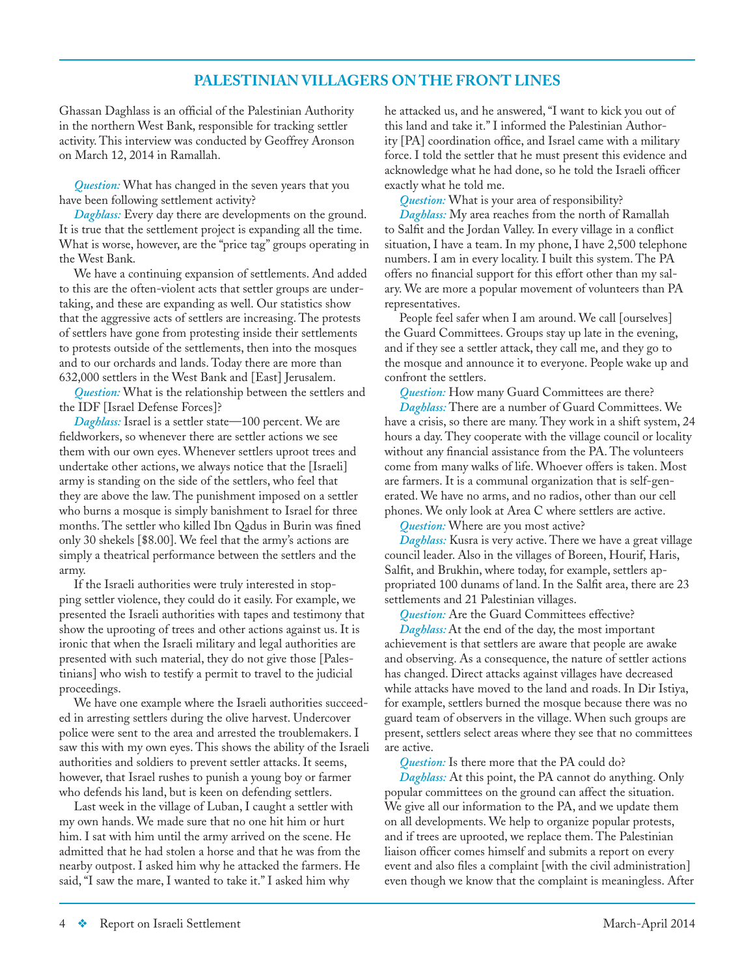# **PALESTINIAN VILLAGERS ON THE FRONT LINES**

Ghassan Daghlass is an official of the Palestinian Authority in the northern West Bank, responsible for tracking settler activity. This interview was conducted by Geoffrey Aronson on March 12, 2014 in Ramallah.

*Question:* What has changed in the seven years that you have been following settlement activity?

*Daghlass:* Every day there are developments on the ground. It is true that the settlement project is expanding all the time. What is worse, however, are the "price tag" groups operating in the West Bank.

We have a continuing expansion of settlements. And added to this are the often-violent acts that settler groups are undertaking, and these are expanding as well. Our statistics show that the aggressive acts of settlers are increasing. The protests of settlers have gone from protesting inside their settlements to protests outside of the settlements, then into the mosques and to our orchards and lands. Today there are more than 632,000 settlers in the West Bank and [East] Jerusalem.

*Question:* What is the relationship between the settlers and the IDF [Israel Defense Forces]?

*Daghlass:* Israel is a settler state—100 percent. We are fieldworkers, so whenever there are settler actions we see them with our own eyes. Whenever settlers uproot trees and undertake other actions, we always notice that the [Israeli] army is standing on the side of the settlers, who feel that they are above the law. The punishment imposed on a settler who burns a mosque is simply banishment to Israel for three months. The settler who killed Ibn Qadus in Burin was fined only 30 shekels [\$8.00]. We feel that the army's actions are simply a theatrical performance between the settlers and the army.

If the Israeli authorities were truly interested in stopping settler violence, they could do it easily. For example, we presented the Israeli authorities with tapes and testimony that show the uprooting of trees and other actions against us. It is ironic that when the Israeli military and legal authorities are presented with such material, they do not give those [Palestinians] who wish to testify a permit to travel to the judicial proceedings.

We have one example where the Israeli authorities succeeded in arresting settlers during the olive harvest. Undercover police were sent to the area and arrested the troublemakers. I saw this with my own eyes. This shows the ability of the Israeli authorities and soldiers to prevent settler attacks. It seems, however, that Israel rushes to punish a young boy or farmer who defends his land, but is keen on defending settlers.

Last week in the village of Luban, I caught a settler with my own hands. We made sure that no one hit him or hurt him. I sat with him until the army arrived on the scene. He admitted that he had stolen a horse and that he was from the nearby outpost. I asked him why he attacked the farmers. He said, "I saw the mare, I wanted to take it." I asked him why

he attacked us, and he answered, "I want to kick you out of this land and take it." I informed the Palestinian Authority [PA] coordination office, and Israel came with a military force. I told the settler that he must present this evidence and acknowledge what he had done, so he told the Israeli officer exactly what he told me.

*Question:* What is your area of responsibility?

*Daghlass:* My area reaches from the north of Ramallah to Salfit and the Jordan Valley. In every village in a conflict situation, I have a team. In my phone, I have 2,500 telephone numbers. I am in every locality. I built this system. The PA offers no financial support for this effort other than my salary. We are more a popular movement of volunteers than PA representatives.

People feel safer when I am around. We call [ourselves] the Guard Committees. Groups stay up late in the evening, and if they see a settler attack, they call me, and they go to the mosque and announce it to everyone. People wake up and confront the settlers.

*Question:* How many Guard Committees are there? *Daghlass:* There are a number of Guard Committees. We have a crisis, so there are many. They work in a shift system, 24 hours a day. They cooperate with the village council or locality without any financial assistance from the PA. The volunteers come from many walks of life. Whoever offers is taken. Most are farmers. It is a communal organization that is self-generated. We have no arms, and no radios, other than our cell phones. We only look at Area C where settlers are active.

*Question:* Where are you most active?

*Daghlass:* Kusra is very active. There we have a great village council leader. Also in the villages of Boreen, Hourif, Haris, Salfit, and Brukhin, where today, for example, settlers appropriated 100 dunams of land. In the Salfit area, there are 23 settlements and 21 Palestinian villages.

*Question:* Are the Guard Committees effective?

*Daghlass:* At the end of the day, the most important achievement is that settlers are aware that people are awake and observing. As a consequence, the nature of settler actions has changed. Direct attacks against villages have decreased while attacks have moved to the land and roads. In Dir Istiya, for example, settlers burned the mosque because there was no guard team of observers in the village. When such groups are present, settlers select areas where they see that no committees are active.

*Question:* Is there more that the PA could do?

*Daghlass:* At this point, the PA cannot do anything. Only popular committees on the ground can affect the situation. We give all our information to the PA, and we update them on all developments. We help to organize popular protests, and if trees are uprooted, we replace them. The Palestinian liaison officer comes himself and submits a report on every event and also files a complaint [with the civil administration] even though we know that the complaint is meaningless. After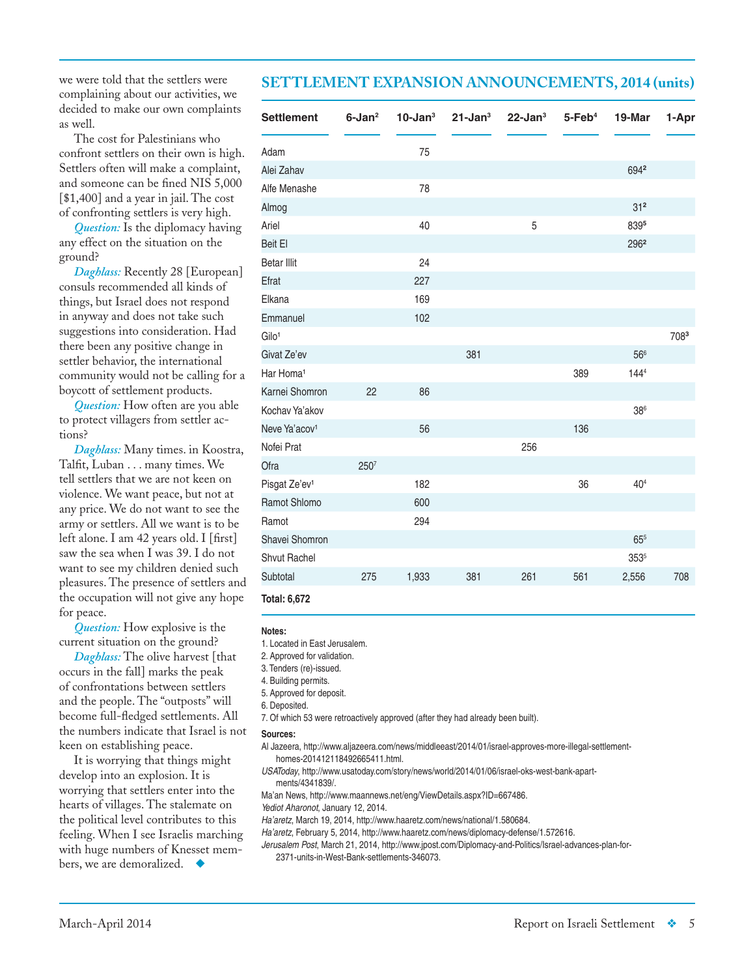we were told that the settlers were complaining about our activities, we decided to make our own complaints as well.

The cost for Palestinians who confront settlers on their own is high. Settlers often will make a complaint, and someone can be fined NIS 5,000 [\$1,400] and a year in jail. The cost of confronting settlers is very high.

*Question:* Is the diplomacy having any effect on the situation on the ground?

*Daghlass:* Recently 28 [European] consuls recommended all kinds of things, but Israel does not respond in anyway and does not take such suggestions into consideration. Had there been any positive change in settler behavior, the international community would not be calling for a boycott of settlement products.

*Question:* How often are you able to protect villagers from settler actions?

*Daghlass:* Many times. in Koostra, Talfit, Luban . . . many times. We tell settlers that we are not keen on violence. We want peace, but not at any price. We do not want to see the army or settlers. All we want is to be left alone. I am 42 years old. I [first] saw the sea when I was 39. I do not want to see my children denied such pleasures. The presence of settlers and the occupation will not give any hope for peace.

*Question:* How explosive is the current situation on the ground?

*Daghlass:* The olive harvest [that occurs in the fall] marks the peak of confrontations between settlers and the people. The "outposts" will become full-fledged settlements. All the numbers indicate that Israel is not keen on establishing peace.

It is worrying that things might develop into an explosion. It is worrying that settlers enter into the hearts of villages. The stalemate on the political level contributes to this feeling. When I see Israelis marching with huge numbers of Knesset members, we are demoralized.

# **SETTLEMENT EXPANSION ANNOUNCEMENTS, 2014 (units)**

| <b>Settlement</b>         | $6$ -Jan $2$ | $10 - Jan3$ | $21$ -Jan $3$ | $22$ -Jan $3$ | $5$ -Feb $4$ | 19-Mar          | 1-Apr |
|---------------------------|--------------|-------------|---------------|---------------|--------------|-----------------|-------|
| Adam                      |              | 75          |               |               |              |                 |       |
| Alei Zahav                |              |             |               |               |              | 6942            |       |
| Alfe Menashe              |              | 78          |               |               |              |                 |       |
| Almog                     |              |             |               |               |              | 31 <sup>2</sup> |       |
| Ariel                     |              | 40          |               | 5             |              | 8395            |       |
| Beit El                   |              |             |               |               |              | 2962            |       |
| <b>Betar Illit</b>        |              | 24          |               |               |              |                 |       |
| Efrat                     |              | 227         |               |               |              |                 |       |
| Elkana                    |              | 169         |               |               |              |                 |       |
| Emmanuel                  |              | 102         |               |               |              |                 |       |
| Gilo <sup>1</sup>         |              |             |               |               |              |                 | 7083  |
| Givat Ze'ev               |              |             | 381           |               |              | 566             |       |
| Har Homa <sup>1</sup>     |              |             |               |               | 389          | 1444            |       |
| Karnei Shomron            | 22           | 86          |               |               |              |                 |       |
| Kochav Ya'akov            |              |             |               |               |              | 38 <sup>6</sup> |       |
| Neve Ya'acov <sup>1</sup> |              | 56          |               |               | 136          |                 |       |
| Nofei Prat                |              |             |               | 256           |              |                 |       |
| Ofra                      | 2507         |             |               |               |              |                 |       |
| Pisgat Ze'ev <sup>1</sup> |              | 182         |               |               | 36           | 40 <sup>4</sup> |       |
| Ramot Shlomo              |              | 600         |               |               |              |                 |       |
| Ramot                     |              | 294         |               |               |              |                 |       |
| Shavei Shomron            |              |             |               |               |              | $65^{5}$        |       |
| Shvut Rachel              |              |             |               |               |              | $353^{5}$       |       |
| Subtotal                  | 275          | 1,933       | 381           | 261           | 561          | 2,556           | 708   |
| <b>Total: 6,672</b>       |              |             |               |               |              |                 |       |

#### **Notes:**

1. Located in East Jerusalem.

2. Approved for validation.

3. Tenders (re)-issued.

4. Building permits.

5. Approved for deposit.

6. Deposited.

7. Of which 53 were retroactively approved (after they had already been built).

#### **Sources:**

Al Jazeera, http://www.aljazeera.com/news/middleeast/2014/01/israel-approves-more-illegal-settlementhomes-201412118492665411.html.

*USAToday*, http://www.usatoday.com/story/news/world/2014/01/06/israel-oks-west-bank-apartments/4341839/.

Ma'an News, http://www.maannews.net/eng/ViewDetails.aspx?ID=667486.

*Yediot Aharonot*, January 12, 2014.

*Ha'aretz*, March 19, 2014, http://www.haaretz.com/news/national/1.580684.

*Ha'aretz*, February 5, 2014, http://www.haaretz.com/news/diplomacy-defense/1.572616.

*Jerusalem Post*, March 21, 2014, http://www.jpost.com/Diplomacy-and-Politics/Israel-advances-plan-for-2371-units-in-West-Bank-settlements-346073.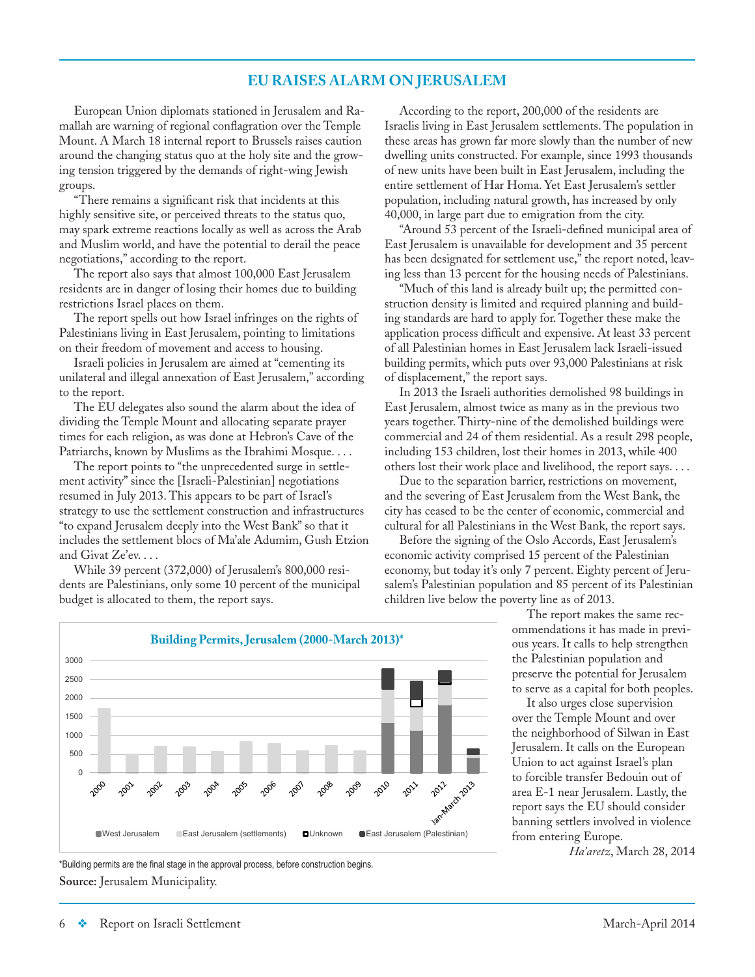# **EU RAISES ALARM ON JERUSALEM**

European Union diplomats stationed in Jerusalem and Ramallah are warning of regional conflagration over the Temple Mount. A March 18 internal report to Brussels raises caution around the changing status quo at the holy site and the growing tension triggered by the demands of right-wing Jewish groups.

"There remains a significant risk that incidents at this highly sensitive site, or perceived threats to the status quo, may spark extreme reactions locally as well as across the Arab and Muslim world, and have the potential to derail the peace negotiations," according to the report.

The report also says that almost 100,000 East Jerusalem residents are in danger of losing their homes due to building restrictions Israel places on them.

The report spells out how Israel infringes on the rights of Palestinians living in East Jerusalem, pointing to limitations on their freedom of movement and access to housing.

Israeli policies in Jerusalem are aimed at "cementing its unilateral and illegal annexation of East Jerusalem," according to the report.

The EU delegates also sound the alarm about the idea of dividing the Temple Mount and allocating separate prayer times for each religion, as was done at Hebron's Cave of the Patriarchs, known by Muslims as the Ibrahimi Mosque. . . .

The report points to "the unprecedented surge in settlement activity" since the [Israeli-Palestinian] negotiations resumed in July 2013. This appears to be part of Israel's strategy to use the settlement construction and infrastructures "to expand Jerusalem deeply into the West Bank" so that it includes the settlement blocs of Ma'ale Adumim, Gush Etzion and Givat Ze'ev. . . .

While 39 percent (372,000) of Jerusalem's 800,000 residents are Palestinians, only some 10 percent of the municipal budget is allocated to them, the report says.

According to the report, 200,000 of the residents are Israelis living in East Jerusalem settlements. The population in these areas has grown far more slowly than the number of new dwelling units constructed. For example, since 1993 thousands of new units have been built in East Jerusalem, including the entire settlement of Har Homa. Yet East Jerusalem's settler population, including natural growth, has increased by only 40,000, in large part due to emigration from the city.

"Around 53 percent of the Israeli-defined municipal area of East Jerusalem is unavailable for development and 35 percent has been designated for settlement use," the report noted, leaving less than 13 percent for the housing needs of Palestinians.

"Much of this land is already built up; the permitted construction density is limited and required planning and building standards are hard to apply for. Together these make the application process difficult and expensive. At least 33 percent of all Palestinian homes in East Jerusalem lack Israeli-issued building permits, which puts over 93,000 Palestinians at risk of displacement," the report says.

In 2013 the Israeli authorities demolished 98 buildings in East Jerusalem, almost twice as many as in the previous two years together. Thirty-nine of the demolished buildings were commercial and 24 of them residential. As a result 298 people, including 153 children, lost their homes in 2013, while 400 others lost their work place and livelihood, the report says. . . .

Due to the separation barrier, restrictions on movement, and the severing of East Jerusalem from the West Bank, the city has ceased to be the center of economic, commercial and cultural for all Palestinians in the West Bank, the report says.

Before the signing of the Oslo Accords, East Jerusalem's economic activity comprised 15 percent of the Palestinian economy, but today it's only 7 percent. Eighty percent of Jerusalem's Palestinian population and 85 percent of its Palestinian children live below the poverty line as of 2013.

> The report makes the same recommendations it has made in previous years. It calls to help strengthen the Palestinian population and preserve the potential for Jerusalem to serve as a capital for both peoples.

> It also urges close supervision over the Temple Mount and over the neighborhood of Silwan in East Jerusalem. It calls on the European Union to act against Israel's plan to forcible transfer Bedouin out of area E-1 near Jerusalem. Lastly, the report says the EU should consider banning settlers involved in violence from entering Europe.

> > *Ha'aretz*, March 28, 2014



**Source:** Jerusalem Municipality. \*Building permits are the final stage in the approval process, before construction begins.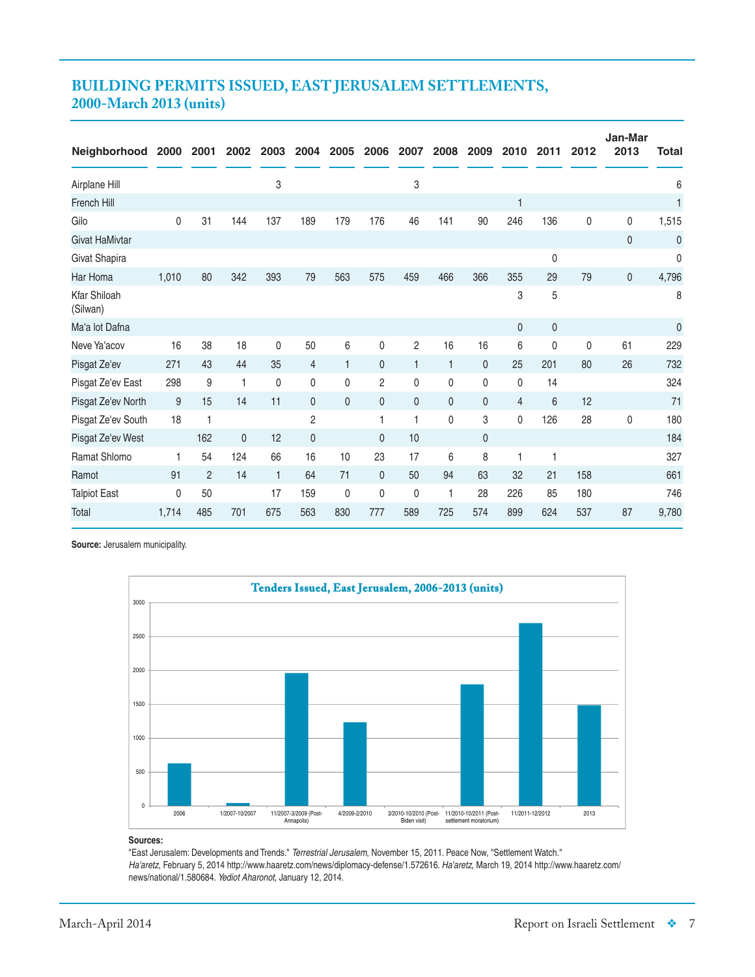# **BUILDING PERMITS ISSUED, EAST JERUSALEM SETTLEMENTS, 2000-March 2013 (units)**

| <b>Neighborhood</b>             | 2000  | 2001           | 2002 | 2003         | 2004           | 2005         | 2006           | 2007         | 2008         | 2009           | 2010           | 2011        | 2012 | Jan-Mar<br>2013 | <b>Total</b> |
|---------------------------------|-------|----------------|------|--------------|----------------|--------------|----------------|--------------|--------------|----------------|----------------|-------------|------|-----------------|--------------|
| Airplane Hill                   |       |                |      | 3            |                |              |                | 3            |              |                |                |             |      |                 | 6            |
| <b>French Hill</b>              |       |                |      |              |                |              |                |              |              |                | $\mathbf{1}$   |             |      |                 | 1            |
| Gilo                            | 0     | 31             | 144  | 137          | 189            | 179          | 176            | 46           | 141          | 90             | 246            | 136         | 0    | 0               | 1,515        |
| <b>Givat HaMivtar</b>           |       |                |      |              |                |              |                |              |              |                |                |             |      | 0               | 0            |
| Givat Shapira                   |       |                |      |              |                |              |                |              |              |                |                | $\mathbf 0$ |      |                 | 0            |
| Har Homa                        | 1.010 | 80             | 342  | 393          | 79             | 563          | 575            | 459          | 466          | 366            | 355            | 29          | 79   | 0               | 4,796        |
| <b>Kfar Shiloah</b><br>(Silwan) |       |                |      |              |                |              |                |              |              |                | 3              | 5           |      |                 | 8            |
| Ma'a lot Dafna                  |       |                |      |              |                |              |                |              |              |                | $\mathbf{0}$   | 0           |      |                 | 0            |
| Neve Ya'acov                    | 16    | 38             | 18   | $\mathbf{0}$ | 50             | 6            | 0              | 2            | 16           | 16             | 6              | 0           | 0    | 61              | 229          |
| Pisgat Ze'ev                    | 271   | 43             | 44   | 35           | $\overline{4}$ | 1            | $\mathbf{0}$   | $\mathbf{1}$ | $\mathbf{1}$ | $\mathbf{0}$   | 25             | 201         | 80   | 26              | 732          |
| Pisgat Ze'ev East               | 298   | 9              | 1    | $\mathbf 0$  | $\mathbf 0$    | 0            | $\overline{c}$ | 0            | 0            | 0              | $\mathbf 0$    | 14          |      |                 | 324          |
| Pisgat Ze'ev North              | 9     | 15             | 14   | 11           | $\mathbf{0}$   | $\mathbf{0}$ | $\mathbf{0}$   | $\mathbf{0}$ | 0            | $\mathbf{0}$   | $\overline{4}$ | 6           | 12   |                 | 71           |
| Pisgat Ze'ev South              | 18    |                |      |              | $\overline{2}$ |              | 1              | 1            | 0            | 3              | $\mathbf{0}$   | 126         | 28   | 0               | 180          |
| Pisgat Ze'ev West               |       | 162            | 0    | 12           | $\mathbf 0$    |              | $\mathbf{0}$   | 10           |              | $\overline{0}$ |                |             |      |                 | 184          |
| Ramat Shlomo                    | 1     | 54             | 124  | 66           | 16             | 10           | 23             | 17           | 6            | 8              | 1              |             |      |                 | 327          |
| Ramot                           | 91    | $\overline{2}$ | 14   | $\mathbf{1}$ | 64             | 71           | $\mathbf{0}$   | 50           | 94           | 63             | 32             | 21          | 158  |                 | 661          |
| <b>Talpiot East</b>             | 0     | 50             |      | 17           | 159            | $\mathbf 0$  | 0              | 0            | 1            | 28             | 226            | 85          | 180  |                 | 746          |
| Total                           | 1,714 | 485            | 701  | 675          | 563            | 830          | 777            | 589          | 725          | 574            | 899            | 624         | 537  | 87              | 9,780        |

**Source:** Jerusalem municipality.



#### **Sources:**

"East Jerusalem: Developments and Trends." *Terrestrial Jerusalem*, November 15, 2011. Peace Now, "Settlement Watch." *Ha'aretz*, February 5, 2014 http://www.haaretz.com/news/diplomacy-defense/1.572616. *Ha'aretz*, March 19, 2014 http://www.haaretz.com/ news/national/1.580684. *Yediot Aharonot*, January 12, 2014.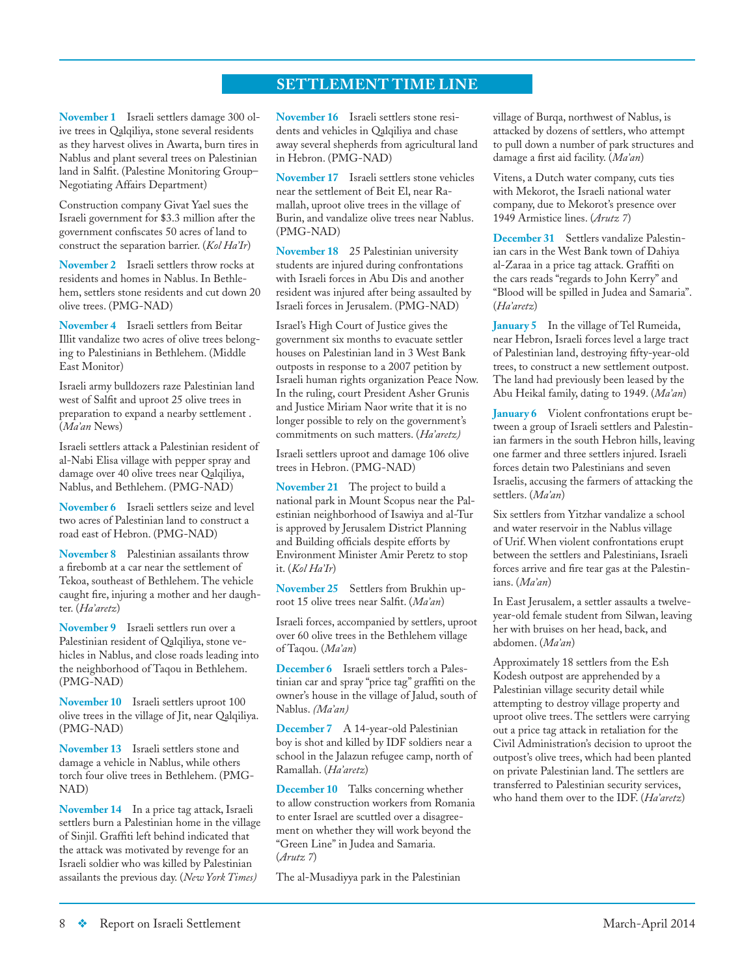# **SETTLEMENT TIME LINE**

**November 1** Israeli settlers damage 300 olive trees in Qalqiliya, stone several residents as they harvest olives in Awarta, burn tires in Nablus and plant several trees on Palestinian land in Salfit. (Palestine Monitoring Group– Negotiating Affairs Department)

Construction company Givat Yael sues the Israeli government for \$3.3 million after the government confiscates 50 acres of land to construct the separation barrier. (*Kol Ha'Ir*)

**November 2** Israeli settlers throw rocks at residents and homes in Nablus. In Bethlehem, settlers stone residents and cut down 20 olive trees. (PMG-NAD)

**November 4** Israeli settlers from Beitar Illit vandalize two acres of olive trees belonging to Palestinians in Bethlehem. (Middle East Monitor)

Israeli army bulldozers raze Palestinian land west of Salfit and uproot 25 olive trees in preparation to expand a nearby settlement . (*Ma'an* News)

Israeli settlers attack a Palestinian resident of al-Nabi Elisa village with pepper spray and damage over 40 olive trees near Qalqiliya, Nablus, and Bethlehem. (PMG-NAD)

**November 6** Israeli settlers seize and level two acres of Palestinian land to construct a road east of Hebron. (PMG-NAD)

**November 8** Palestinian assailants throw a firebomb at a car near the settlement of Tekoa, southeast of Bethlehem. The vehicle caught fire, injuring a mother and her daughter. (*Ha'aretz*)

**November 9** Israeli settlers run over a Palestinian resident of Qalqiliya, stone vehicles in Nablus, and close roads leading into the neighborhood of Taqou in Bethlehem. (PMG-NAD)

**November 10** Israeli settlers uproot 100 olive trees in the village of Jit, near Qalqiliya. (PMG-NAD)

**November 13** Israeli settlers stone and damage a vehicle in Nablus, while others torch four olive trees in Bethlehem. (PMG-NAD)

**November 14** In a price tag attack, Israeli settlers burn a Palestinian home in the village of Sinjil. Graffiti left behind indicated that the attack was motivated by revenge for an Israeli soldier who was killed by Palestinian assailants the previous day. (*New York Times)*

**November 16** Israeli settlers stone residents and vehicles in Qalqiliya and chase away several shepherds from agricultural land in Hebron. (PMG-NAD)

**November 17** Israeli settlers stone vehicles near the settlement of Beit El, near Ramallah, uproot olive trees in the village of Burin, and vandalize olive trees near Nablus. (PMG-NAD)

**November 18** 25 Palestinian university students are injured during confrontations with Israeli forces in Abu Dis and another resident was injured after being assaulted by Israeli forces in Jerusalem. (PMG-NAD)

Israel's High Court of Justice gives the government six months to evacuate settler houses on Palestinian land in 3 West Bank outposts in response to a 2007 petition by Israeli human rights organization Peace Now. In the ruling, court President Asher Grunis and Justice Miriam Naor write that it is no longer possible to rely on the government's commitments on such matters. (*Ha'aretz)*

Israeli settlers uproot and damage 106 olive trees in Hebron. (PMG-NAD)

**November 21** The project to build a national park in Mount Scopus near the Palestinian neighborhood of Isawiya and al-Tur is approved by Jerusalem District Planning and Building officials despite efforts by Environment Minister Amir Peretz to stop it. (*Kol Ha'Ir*)

**November 25** Settlers from Brukhin uproot 15 olive trees near Salfit. (*Ma'an*)

Israeli forces, accompanied by settlers, uproot over 60 olive trees in the Bethlehem village of Taqou. (*Ma'an*)

**December 6** Israeli settlers torch a Palestinian car and spray "price tag" graffiti on the owner's house in the village of Jalud, south of Nablus. *(Ma'an)*

**December 7** A 14-year-old Palestinian boy is shot and killed by IDF soldiers near a school in the Jalazun refugee camp, north of Ramallah. (*Ha'aretz*)

**December 10** Talks concerning whether to allow construction workers from Romania to enter Israel are scuttled over a disagreement on whether they will work beyond the "Green Line" in Judea and Samaria. (*Arutz 7*)

The al-Musadiyya park in the Palestinian

village of Burqa, northwest of Nablus, is attacked by dozens of settlers, who attempt to pull down a number of park structures and damage a first aid facility. (*Ma'an*)

Vitens, a Dutch water company, cuts ties with Mekorot, the Israeli national water company, due to Mekorot's presence over 1949 Armistice lines. (*Arutz 7*)

**December 31** Settlers vandalize Palestinian cars in the West Bank town of Dahiya al-Zaraa in a price tag attack. Graffiti on the cars reads "regards to John Kerry" and "Blood will be spilled in Judea and Samaria". (*Ha'aretz*)

**January 5** In the village of Tel Rumeida, near Hebron, Israeli forces level a large tract of Palestinian land, destroying fifty-year-old trees, to construct a new settlement outpost. The land had previously been leased by the Abu Heikal family, dating to 1949. (*Ma'an*)

**January 6** Violent confrontations erupt between a group of Israeli settlers and Palestinian farmers in the south Hebron hills, leaving one farmer and three settlers injured. Israeli forces detain two Palestinians and seven Israelis, accusing the farmers of attacking the settlers. (*Ma'an*)

Six settlers from Yitzhar vandalize a school and water reservoir in the Nablus village of Urif. When violent confrontations erupt between the settlers and Palestinians, Israeli forces arrive and fire tear gas at the Palestinians. (*Ma'an*)

In East Jerusalem, a settler assaults a twelveyear-old female student from Silwan, leaving her with bruises on her head, back, and abdomen. (*Ma'an*)

Approximately 18 settlers from the Esh Kodesh outpost are apprehended by a Palestinian village security detail while attempting to destroy village property and uproot olive trees. The settlers were carrying out a price tag attack in retaliation for the Civil Administration's decision to uproot the outpost's olive trees, which had been planted on private Palestinian land. The settlers are transferred to Palestinian security services, who hand them over to the IDF. (*Ha'aretz*)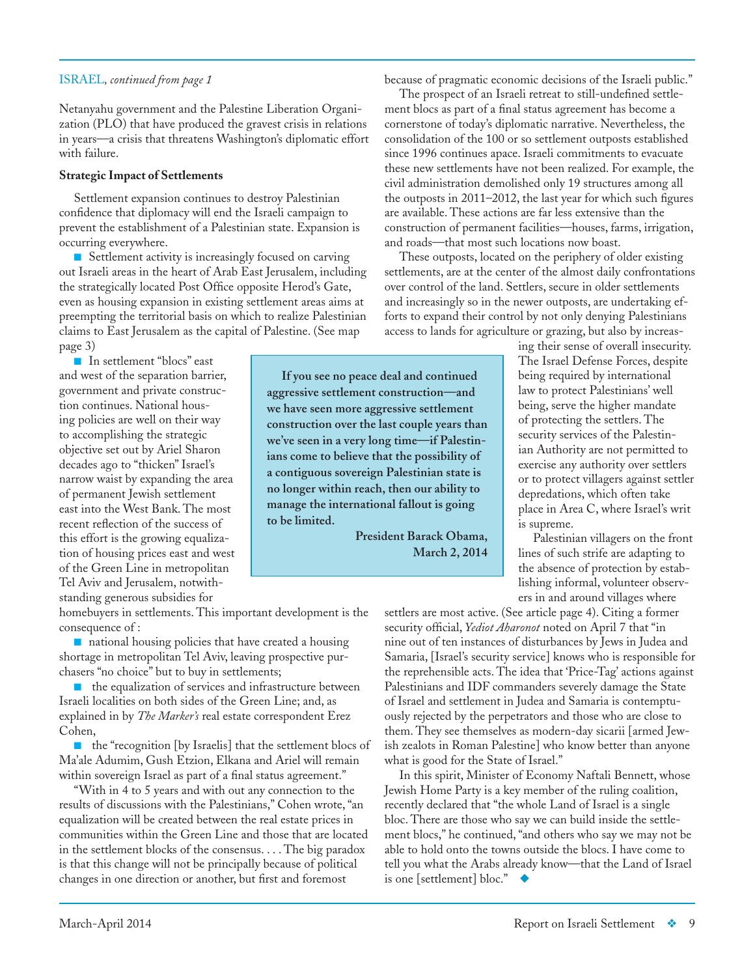### ISRAEL*, continued from page 1*

Netanyahu government and the Palestine Liberation Organization (PLO) that have produced the gravest crisis in relations in years—a crisis that threatens Washington's diplomatic effort with failure.

### **Strategic Impact of Settlements**

Settlement expansion continues to destroy Palestinian confidence that diplomacy will end the Israeli campaign to prevent the establishment of a Palestinian state. Expansion is occurring everywhere.

■ Settlement activity is increasingly focused on carving out Israeli areas in the heart of Arab East Jerusalem, including the strategically located Post Office opposite Herod's Gate, even as housing expansion in existing settlement areas aims at preempting the territorial basis on which to realize Palestinian claims to East Jerusalem as the capital of Palestine. (See map page 3)

■ In settlement "blocs" east and west of the separation barrier, government and private construction continues. National housing policies are well on their way to accomplishing the strategic objective set out by Ariel Sharon decades ago to "thicken" Israel's narrow waist by expanding the area of permanent Jewish settlement east into the West Bank. The most recent reflection of the success of this effort is the growing equalization of housing prices east and west of the Green Line in metropolitan Tel Aviv and Jerusalem, notwithstanding generous subsidies for

homebuyers in settlements. This important development is the consequence of :

■ national housing policies that have created a housing shortage in metropolitan Tel Aviv, leaving prospective purchasers "no choice" but to buy in settlements;

■ the equalization of services and infrastructure between Israeli localities on both sides of the Green Line; and, as explained in by *The Marker's* real estate correspondent Erez Cohen,

■ the "recognition [by Israelis] that the settlement blocs of Ma'ale Adumim, Gush Etzion, Elkana and Ariel will remain within sovereign Israel as part of a final status agreement."

"With in 4 to 5 years and with out any connection to the results of discussions with the Palestinians," Cohen wrote, "an equalization will be created between the real estate prices in communities within the Green Line and those that are located in the settlement blocks of the consensus. . . . The big paradox is that this change will not be principally because of political changes in one direction or another, but first and foremost

because of pragmatic economic decisions of the Israeli public."

The prospect of an Israeli retreat to still-undefined settlement blocs as part of a final status agreement has become a cornerstone of today's diplomatic narrative. Nevertheless, the consolidation of the 100 or so settlement outposts established since 1996 continues apace. Israeli commitments to evacuate these new settlements have not been realized. For example, the civil administration demolished only 19 structures among all the outposts in 2011–2012, the last year for which such figures are available. These actions are far less extensive than the construction of permanent facilities—houses, farms, irrigation, and roads—that most such locations now boast.

These outposts, located on the periphery of older existing settlements, are at the center of the almost daily confrontations over control of the land. Settlers, secure in older settlements and increasingly so in the newer outposts, are undertaking efforts to expand their control by not only denying Palestinians access to lands for agriculture or grazing, but also by increas-

ing their sense of overall insecurity. The Israel Defense Forces, despite being required by international law to protect Palestinians' well being, serve the higher mandate of protecting the settlers. The security services of the Palestinian Authority are not permitted to exercise any authority over settlers or to protect villagers against settler depredations, which often take place in Area C, where Israel's writ is supreme.

Palestinian villagers on the front lines of such strife are adapting to the absence of protection by establishing informal, volunteer observers in and around villages where

settlers are most active. (See article page 4). Citing a former security official, *Yediot Aharonot* noted on April 7 that "in nine out of ten instances of disturbances by Jews in Judea and Samaria, [Israel's security service] knows who is responsible for the reprehensible acts. The idea that 'Price-Tag' actions against Palestinians and IDF commanders severely damage the State of Israel and settlement in Judea and Samaria is contemptuously rejected by the perpetrators and those who are close to them. They see themselves as modern-day [sicarii](http://maillist.tehila.gov.il/t/1129676/85554/27077/0/) [armed Jewish zealots in Roman Palestine] who know better than anyone what is good for the State of Israel."

In this spirit, Minister of Economy Naftali Bennett, whose Jewish Home Party is a key member of the ruling coalition, recently declared that "the whole Land of Israel is a single bloc. There are those who say we can build inside the settlement blocs," he continued, "and others who say we may not be able to hold onto the towns outside the blocs. I have come to tell you what the Arabs already know—that the Land of Israel is one [settlement] bloc."  $\triangleleft$ 

**If you see no peace deal and continued aggressive settlement construction—and we have seen more aggressive settlement construction over the last couple years than we've seen in a very long time—if Palestinians come to believe that the possibility of a contiguous sovereign Palestinian state is no longer within reach, then our ability to manage the international fallout is going to be limited.**

**President Barack Obama, March 2, 2014**